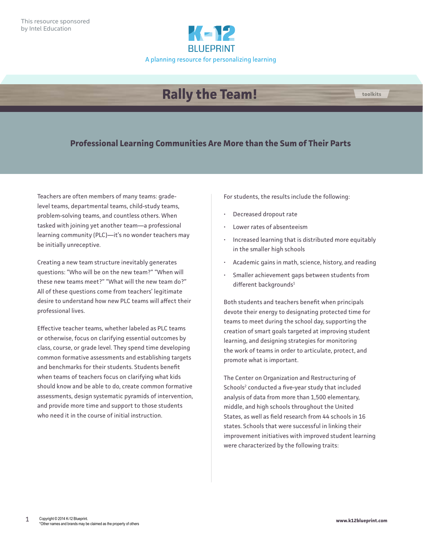

# **Rally the Team!**

#### **Professional Learning Communities Are More than the Sum of Their Parts**

Teachers are often members of many teams: gradelevel teams, departmental teams, child-study teams, problem-solving teams, and countless others. When tasked with joining yet another team—a professional learning community (PLC)—it's no wonder teachers may be initially unreceptive.

Creating a new team structure inevitably generates questions: "Who will be on the new team?" "When will these new teams meet?" "What will the new team do?" All of these questions come from teachers' legitimate desire to understand how new PLC teams will affect their professional lives.

Effective teacher teams, whether labeled as PLC teams or otherwise, focus on clarifying essential outcomes by class, course, or grade level. They spend time developing common formative assessments and establishing targets and benchmarks for their students. Students benefit when teams of teachers focus on clarifying what kids should know and be able to do, create common formative assessments, design systematic pyramids of intervention, and provide more time and support to those students who need it in the course of initial instruction.

For students, the results include the following:

- Decreased dropout rate
- Lower rates of absenteeism
- Increased learning that is distributed more equitably in the smaller high schools
- Academic gains in math, science, history, and reading
- Smaller achievement gaps between students from different backgrounds<sup>1</sup>

Both students and teachers benefit when principals devote their energy to designating protected time for teams to meet during the school day, supporting the creation of smart goals targeted at improving student learning, and designing strategies for monitoring the work of teams in order to articulate, protect, and promote what is important.

The Center on Organization and Restructuring of Schools<sup>2</sup> conducted a five-year study that included analysis of data from more than 1,500 elementary, middle, and high schools throughout the United States, as well as field research from 44 schools in 16 states. Schools that were successful in linking their improvement initiatives with improved student learning were characterized by the following traits:

**toolkits**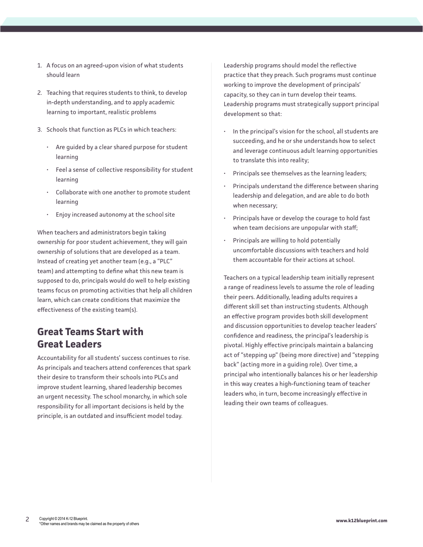- 1. A focus on an agreed-upon vision of what students should learn
- 2. Teaching that requires students to think, to develop in-depth understanding, and to apply academic learning to important, realistic problems
- 3. Schools that function as PLCs in which teachers:
	- Are guided by a clear shared purpose for student learning
	- Feel a sense of collective responsibility for student learning
	- Collaborate with one another to promote student learning
	- Enjoy increased autonomy at the school site

When teachers and administrators begin taking ownership for poor student achievement, they will gain ownership of solutions that are developed as a team. Instead of creating yet another team (e.g., a "PLC" team) and attempting to define what this new team is supposed to do, principals would do well to help existing teams focus on promoting activities that help all children learn, which can create conditions that maximize the effectiveness of the existing team(s).

### **Great Teams Start with Great Leaders**

Accountability for all students' success continues to rise. As principals and teachers attend conferences that spark their desire to transform their schools into PLCs and improve student learning, shared leadership becomes an urgent necessity. The school monarchy, in which sole responsibility for all important decisions is held by the principle, is an outdated and insufficient model today.

Leadership programs should model the reflective practice that they preach. Such programs must continue working to improve the development of principals' capacity, so they can in turn develop their teams. Leadership programs must strategically support principal development so that:

- In the principal's vision for the school, all students are succeeding, and he or she understands how to select and leverage continuous adult learning opportunities to translate this into reality;
- Principals see themselves as the learning leaders;
- Principals understand the difference between sharing leadership and delegation, and are able to do both when necessary;
- Principals have or develop the courage to hold fast when team decisions are unpopular with staff;
- Principals are willing to hold potentially uncomfortable discussions with teachers and hold them accountable for their actions at school.

Teachers on a typical leadership team initially represent a range of readiness levels to assume the role of leading their peers. Additionally, leading adults requires a different skill set than instructing students. Although an effective program provides both skill development and discussion opportunities to develop teacher leaders' confidence and readiness, the principal's leadership is pivotal. Highly effective principals maintain a balancing act of "stepping up" (being more directive) and "stepping back" (acting more in a guiding role). Over time, a principal who intentionally balances his or her leadership in this way creates a high-functioning team of teacher leaders who, in turn, become increasingly effective in leading their own teams of colleagues.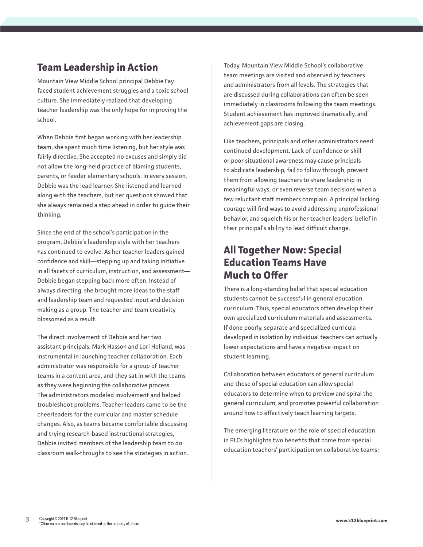# **Team Leadership in Action**

Mountain View Middle School principal Debbie Fay faced student achievement struggles and a toxic school culture. She immediately realized that developing teacher leadership was the only hope for improving the school.

When Debbie first began working with her leadership team, she spent much time listening, but her style was fairly directive. She accepted no excuses and simply did not allow the long-held practice of blaming students, parents, or feeder elementary schools. In every session, Debbie was the lead learner. She listened and learned along with the teachers, but her questions showed that she always remained a step ahead in order to guide their thinking.

Since the end of the school's participation in the program, Debbie's leadership style with her teachers has continued to evolve. As her teacher leaders gained confidence and skill—stepping up and taking initiative in all facets of curriculum, instruction, and assessment— Debbie began stepping back more often. Instead of always directing, she brought more ideas to the staff and leadership team and requested input and decision making as a group. The teacher and team creativity blossomed as a result.

The direct involvement of Debbie and her two assistant principals, Mark Hasson and Lori Holland, was instrumental in launching teacher collaboration. Each administrator was responsible for a group of teacher teams in a content area, and they sat in with the teams as they were beginning the collaborative process. The administrators modeled involvement and helped troubleshoot problems. Teacher leaders came to be the cheerleaders for the curricular and master schedule changes. Also, as teams became comfortable discussing and trying research-based instructional strategies, Debbie invited members of the leadership team to do classroom walk-throughs to see the strategies in action. Today, Mountain View Middle School's collaborative team meetings are visited and observed by teachers and administrators from all levels. The strategies that are discussed during collaborations can often be seen immediately in classrooms following the team meetings. Student achievement has improved dramatically, and achievement gaps are closing.

Like teachers, principals and other administrators need continued development. Lack of confidence or skill or poor situational awareness may cause principals to abdicate leadership, fail to follow through, prevent them from allowing teachers to share leadership in meaningful ways, or even reverse team decisions when a few reluctant staff members complain. A principal lacking courage will find ways to avoid addressing unprofessional behavior, and squelch his or her teacher leaders' belief in their principal's ability to lead difficult change.

## **All Together Now: Special Education Teams Have Much to Offer**

There is a long-standing belief that special education students cannot be successful in general education curriculum. Thus, special educators often develop their own specialized curriculum materials and assessments. If done poorly, separate and specialized curricula developed in isolation by individual teachers can actually lower expectations and have a negative impact on student learning.

Collaboration between educators of general curriculum and those of special education can allow special educators to determine when to preview and spiral the general curriculum, and promotes powerful collaboration around how to effectively teach learning targets.

The emerging literature on the role of special education in PLCs highlights two benefits that come from special education teachers' participation on collaborative teams: